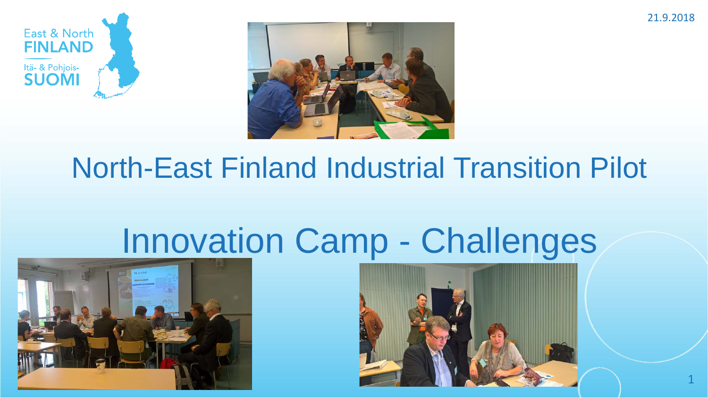





## North-East Finland Industrial Transition Pilot

# Innovation Camp - Challenges



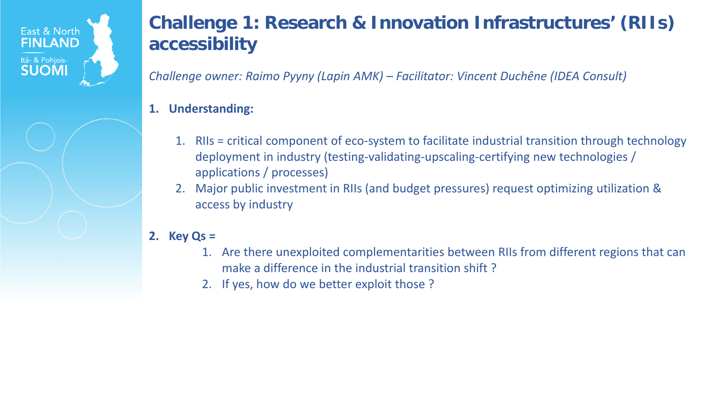

### **Challenge 1: Research & Innovation Infrastructures' (RIIs) accessibility**

*Challenge owner: Raimo Pyyny (Lapin AMK) – Facilitator: Vincent Duchêne (IDEA Consult)*

#### **1. Understanding:**

- 1. RIIs = critical component of eco-system to facilitate industrial transition through technology deployment in industry (testing-validating-upscaling-certifying new technologies / applications / processes)
- 2. Major public investment in RIIs (and budget pressures) request optimizing utilization & access by industry

#### **2. Key Qs =**

- 1. Are there unexploited complementarities between RIIs from different regions that can make a difference in the industrial transition shift ?
- 2. If yes, how do we better exploit those ?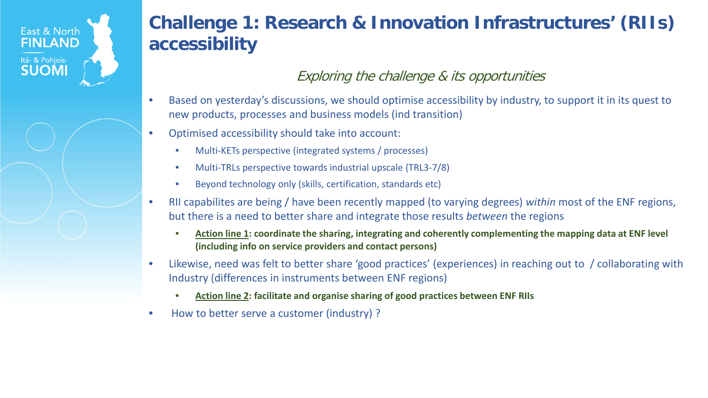### East & North **FINLAND** Itä- & Pohjois-**SUOMI**

### **Challenge 1: Research & Innovation Infrastructures' (RIIs) accessibility**

#### Exploring the challenge & its opportunities

- Based on yesterday's discussions, we should optimise accessibility by industry, to support it in its quest to new products, processes and business models (ind transition)
- Optimised accessibility should take into account:
	- Multi-KETs perspective (integrated systems / processes)
	- Multi-TRLs perspective towards industrial upscale (TRL3-7/8)
	- Beyond technology only (skills, certification, standards etc)
- RII capabilites are being / have been recently mapped (to varying degrees) *within* most of the ENF regions, but there is a need to better share and integrate those results *between* the regions
	- **Action line 1: coordinate the sharing, integrating and coherently complementing the mapping data at ENF level (including info on service providers and contact persons)**
- Likewise, need was felt to better share 'good practices' (experiences) in reaching out to / collaborating with Industry (differences in instruments between ENF regions)
	- **Action line 2: facilitate and organise sharing of good practices between ENF RIIs**
- How to better serve a customer (industry) ?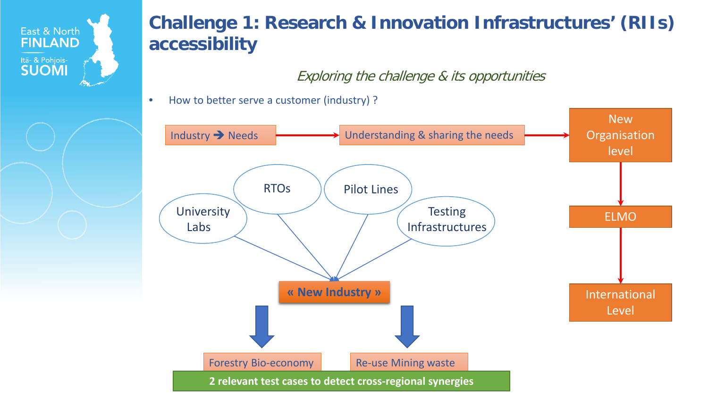

## **Challenge 1: Research & Innovation Infrastructures' (RIIs) accessibility**

Exploring the challenge & its opportunities

• How to better serve a customer (industry) ?

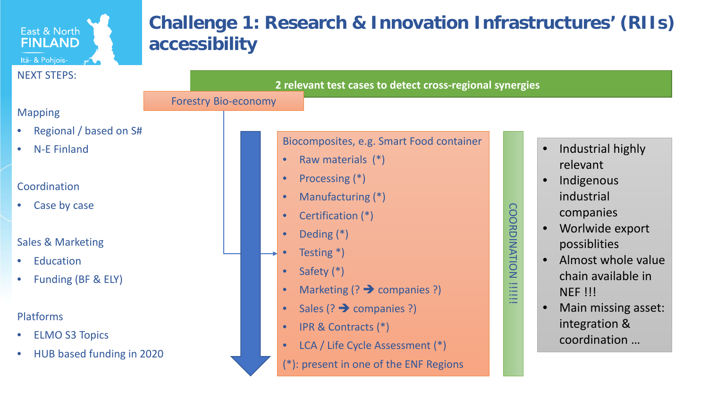#### **Challenge 1: Research & Innovation Infrastructures' (RIIs)**  East & North **FINLAND accessibility Itä- & Pohjois-** And All NEXT STEPS: **2 relevant test cases to detect cross-regional synergies** Forestry Bio-economyMapping • Regional / based on S# Biocomposites, e.g. Smart Food container • Industrial highly • N-E Finland Raw materials (\*) relevant • Processing (\*) **Indigenous** Coordination industrial • Manufacturing (\*) Case by case COORDINATION !!!!!!! COORDINATION companies • Certification (\*) Worlwide export • Deding (\*) Sales & Marketing possiblities Testing \*) • Almost whole value **Education** Safety (\*) chain available in • Funding (BF & ELY) **THE** Marketing  $(?) \rightarrow$  companies ?) NEF !!! Sales  $(?) \rightarrow$  companies ?) • Main missing asset: Platforms integration & • IPR & Contracts (\*) **ELMO S3 Topics** coordination … • LCA / Life Cycle Assessment (\*) • HUB based funding in 2020 (\*): present in one of the ENF Regions